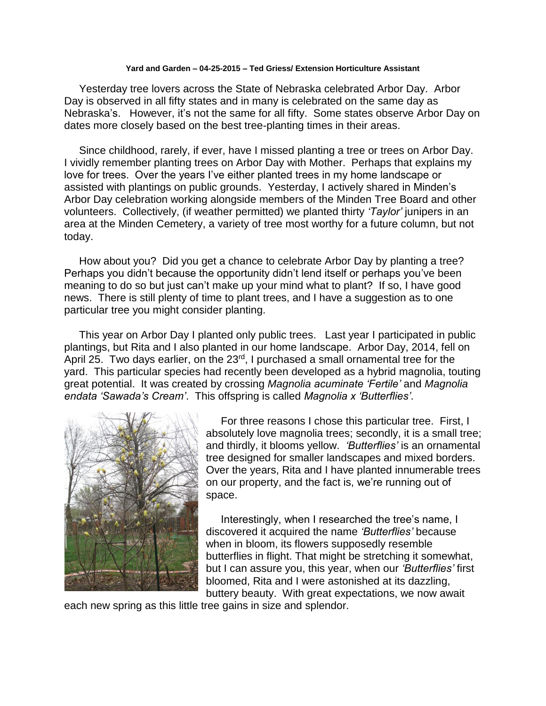## **Yard and Garden – 04-25-2015 – Ted Griess/ Extension Horticulture Assistant**

 Yesterday tree lovers across the State of Nebraska celebrated Arbor Day. Arbor Day is observed in all fifty states and in many is celebrated on the same day as Nebraska's. However, it's not the same for all fifty. Some states observe Arbor Day on dates more closely based on the best tree-planting times in their areas.

 Since childhood, rarely, if ever, have I missed planting a tree or trees on Arbor Day. I vividly remember planting trees on Arbor Day with Mother. Perhaps that explains my love for trees. Over the years I've either planted trees in my home landscape or assisted with plantings on public grounds. Yesterday, I actively shared in Minden's Arbor Day celebration working alongside members of the Minden Tree Board and other volunteers. Collectively, (if weather permitted) we planted thirty *'Taylor'* junipers in an area at the Minden Cemetery, a variety of tree most worthy for a future column, but not today.

 How about you? Did you get a chance to celebrate Arbor Day by planting a tree? Perhaps you didn't because the opportunity didn't lend itself or perhaps you've been meaning to do so but just can't make up your mind what to plant? If so, I have good news. There is still plenty of time to plant trees, and I have a suggestion as to one particular tree you might consider planting.

 This year on Arbor Day I planted only public trees. Last year I participated in public plantings, but Rita and I also planted in our home landscape. Arbor Day, 2014, fell on April 25. Two days earlier, on the 23<sup>rd</sup>, I purchased a small ornamental tree for the yard. This particular species had recently been developed as a hybrid magnolia, touting great potential. It was created by crossing *Magnolia acuminate 'Fertile'* and *Magnolia endata 'Sawada's Cream'*. This offspring is called *Magnolia x 'Butterflies'*.



 For three reasons I chose this particular tree. First, I absolutely love magnolia trees; secondly, it is a small tree; and thirdly, it blooms yellow. *'Butterflies'* is an ornamental tree designed for smaller landscapes and mixed borders. Over the years, Rita and I have planted innumerable trees on our property, and the fact is, we're running out of space.

 Interestingly, when I researched the tree's name, I discovered it acquired the name *'Butterflies'* because when in bloom, its flowers supposedly resemble butterflies in flight. That might be stretching it somewhat, but I can assure you, this year, when our *'Butterflies'* first bloomed, Rita and I were astonished at its dazzling, buttery beauty. With great expectations, we now await

each new spring as this little tree gains in size and splendor.